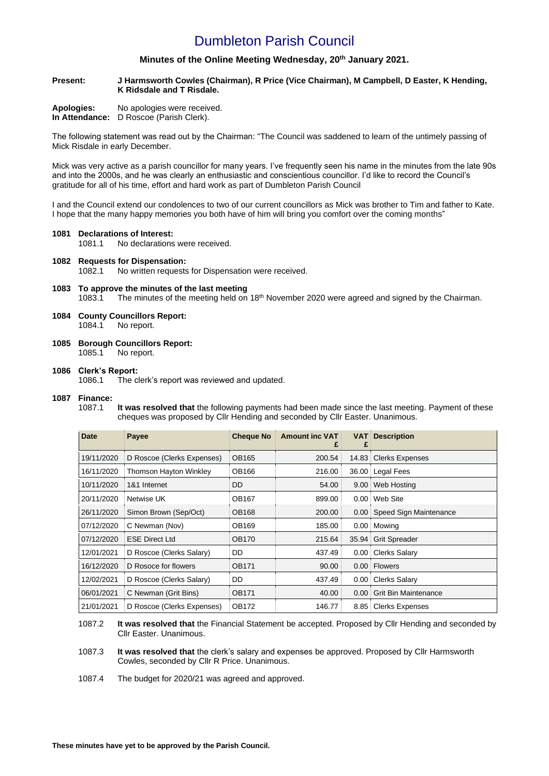## Dumbleton Parish Council

### **Minutes of the Online Meeting Wednesday, 20th January 2021.**

**Present: J Harmsworth Cowles (Chairman), R Price (Vice Chairman), M Campbell, D Easter, K Hending, K Ridsdale and T Risdale.**

| Apologies:     | No apologies were received. |
|----------------|-----------------------------|
| In Attendance: | D Roscoe (Parish Clerk).    |

The following statement was read out by the Chairman: "The Council was saddened to learn of the untimely passing of Mick Risdale in early December.

Mick was very active as a parish councillor for many years. I've frequently seen his name in the minutes from the late 90s and into the 2000s, and he was clearly an enthusiastic and conscientious councillor. I'd like to record the Council's gratitude for all of his time, effort and hard work as part of Dumbleton Parish Council

I and the Council extend our condolences to two of our current councillors as Mick was brother to Tim and father to Kate. I hope that the many happy memories you both have of him will bring you comfort over the coming months"

#### **1081 Declarations of Interest:**

1081.1 No declarations were received.

### **1082 Requests for Dispensation:**

1082.1 No written requests for Dispensation were received.

### **1083 To approve the minutes of the last meeting**

1083.1 The minutes of the meeting held on 18<sup>th</sup> November 2020 were agreed and signed by the Chairman.

- **1084 County Councillors Report:**  1084.1 No report.
- **1085 Borough Councillors Report:**

### 1085.1 No report.

### **1086 Clerk's Report:**

1086.1 The clerk's report was reviewed and updated.

### **1087 Finance:**

1087.1 **It was resolved that** the following payments had been made since the last meeting. Payment of these cheques was proposed by Cllr Hending and seconded by Cllr Easter. Unanimous.

| <b>Date</b> | Payee                      | <b>Cheque No</b> | <b>Amount inc VAT</b> | <b>VAT</b><br>£ | <b>Description</b>          |
|-------------|----------------------------|------------------|-----------------------|-----------------|-----------------------------|
| 19/11/2020  | D Roscoe (Clerks Expenses) | <b>OB165</b>     | 200.54                | 14.83           | <b>Clerks Expenses</b>      |
| 16/11/2020  | Thomson Hayton Winkley     | OB166            | 216.00                | 36.00           | Legal Fees                  |
| 10/11/2020  | 1&1 Internet               | DD               | 54.00                 | 9.00            | Web Hosting                 |
| 20/11/2020  | <b>Netwise UK</b>          | <b>OB167</b>     | 899.00                | 0.00            | Web Site                    |
| 26/11/2020  | Simon Brown (Sep/Oct)      | <b>OB168</b>     | 200.00                | 0.00            | Speed Sign Maintenance      |
| 07/12/2020  | C Newman (Nov)             | <b>OB169</b>     | 185.00                | 0.00            | Mowing                      |
| 07/12/2020  | <b>ESE Direct Ltd</b>      | <b>OB170</b>     | 215.64                | 35.94           | <b>Grit Spreader</b>        |
| 12/01/2021  | D Roscoe (Clerks Salary)   | DD               | 437.49                | 0.00            | <b>Clerks Salary</b>        |
| 16/12/2020  | D Rosoce for flowers       | <b>OB171</b>     | 90.00                 | 0.00            | <b>Flowers</b>              |
| 12/02/2021  | D Roscoe (Clerks Salary)   | DD               | 437.49                | 0.00            | <b>Clerks Salary</b>        |
| 06/01/2021  | C Newman (Grit Bins)       | <b>OB171</b>     | 40.00                 | 0.00            | <b>Grit Bin Maintenance</b> |
| 21/01/2021  | D Roscoe (Clerks Expenses) | <b>OB172</b>     | 146.77                | 8.85            | <b>Clerks Expenses</b>      |

1087.2 **It was resolved that** the Financial Statement be accepted. Proposed by Cllr Hending and seconded by Cllr Easter. Unanimous.

1087.3 **It was resolved that** the clerk's salary and expenses be approved. Proposed by Cllr Harmsworth Cowles, seconded by Cllr R Price. Unanimous.

1087.4 The budget for 2020/21 was agreed and approved.